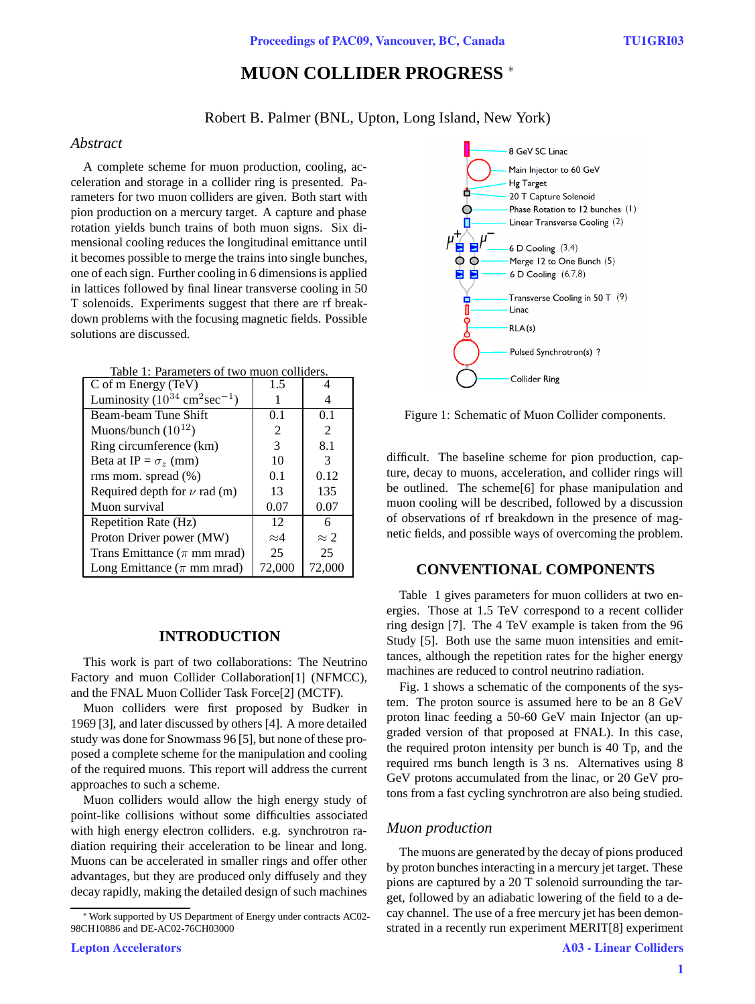# **MUON COLLIDER PROGRESS** <sup>∗</sup>

Robert B. Palmer (BNL, Upton, Long Island, New York)

### *Abstract*

A complete scheme for muon production, cooling, acceleration and storage in a collider ring is presented. Parameters for two muon colliders are given. Both start with pion production on a mercury target. A capture and phase rotation yields bunch trains of both muon signs. Six dimensional cooling reduces the longitudinal emittance until it becomes possible to merge the trains into single bunches, one of each sign. Further cooling in 6 dimensions is applied in lattices followed by final linear transverse cooling in 50 T solenoids. Experiments suggest that there are rf breakdown problems with the focusing magnetic fields. Possible solutions are discussed.

| Table 1: Parameters of two muon colliders. |  |  |
|--------------------------------------------|--|--|
|                                            |  |  |

| C of m Energy (TeV)                                 | 1.5         |               |
|-----------------------------------------------------|-------------|---------------|
| Luminosity $(10^{34} \text{ cm}^2 \text{sec}^{-1})$ |             |               |
| Beam-beam Tune Shift                                | 0.1         | 0.1           |
| Muons/bunch $(10^{12})$                             | 2           | 2             |
| Ring circumference (km)                             | 3           | 8.1           |
| Beta at IP = $\sigma_z$ (mm)                        | 10          | 3             |
| rms mom. spread (%)                                 | 0.1         | 0.12          |
| Required depth for $\nu$ rad (m)                    | 13          | 135           |
| Muon survival                                       | 0.07        | 0.07          |
| Repetition Rate (Hz)                                | 12          | 6             |
| Proton Driver power (MW)                            | $\approx 4$ | $\approx 2$   |
| Trans Emittance ( $\pi$ mm mrad)                    | 25          | 25            |
| Long Emittance ( $\pi$ mm mrad)                     | 72,000      | <b>72,000</b> |

# **INTRODUCTION**

This work is part of two collaborations: The Neutrino Factory and muon Collider Collaboration[1] (NFMCC), and the FNAL Muon Collider Task Force[2] (MCTF).

Muon colliders were first proposed by Budker in 1969 [3], and later discussed by others [4]. A more detailed study was done for Snowmass 96 [5], but none of these proposed a complete scheme for the manipulation and cooling of the required muons. This report will address the current approaches to such a scheme.

Muon colliders would allow the high energy study of point-like collisions without some difficulties associated with high energy electron colliders. e.g. synchrotron radiation requiring their acceleration to be linear and long. Muons can be accelerated in smaller rings and offer other advantages, but they are produced only diffusely and they decay rapidly, making the detailed design of such machines



Figure 1: Schematic of Muon Collider components.

difficult. The baseline scheme for pion production, capture, decay to muons, acceleration, and collider rings will be outlined. The scheme[6] for phase manipulation and muon cooling will be described, followed by a discussion of observations of rf breakdown in the presence of magnetic fields, and possible ways of overcoming the problem.

# **CONVENTIONAL COMPONENTS**

Table 1 gives parameters for muon colliders at two energies. Those at 1.5 TeV correspond to a recent collider ring design [7]. The 4 TeV example is taken from the 96 Study [5]. Both use the same muon intensities and emittances, although the repetition rates for the higher energy machines are reduced to control neutrino radiation.

Fig. 1 shows a schematic of the components of the system. The proton source is assumed here to be an 8 GeV proton linac feeding a 50-60 GeV main Injector (an upgraded version of that proposed at FNAL). In this case, the required proton intensity per bunch is 40 Tp, and the required rms bunch length is 3 ns. Alternatives using 8 GeV protons accumulated from the linac, or 20 GeV protons from a fast cycling synchrotron are also being studied.

# *Muon production*

The muons are generated by the decay of pions produced by proton bunches interacting in a mercury jet target. These pions are captured by a 20 T solenoid surrounding the target, followed by an adiabatic lowering of the field to a decay channel. The use of a free mercury jet has been demonstrated in a recently run experiment MERIT[8] experiment

<sup>∗</sup>Work supported by US Department of Energy under contracts AC02- 98CH10886 and DE-AC02-76CH03000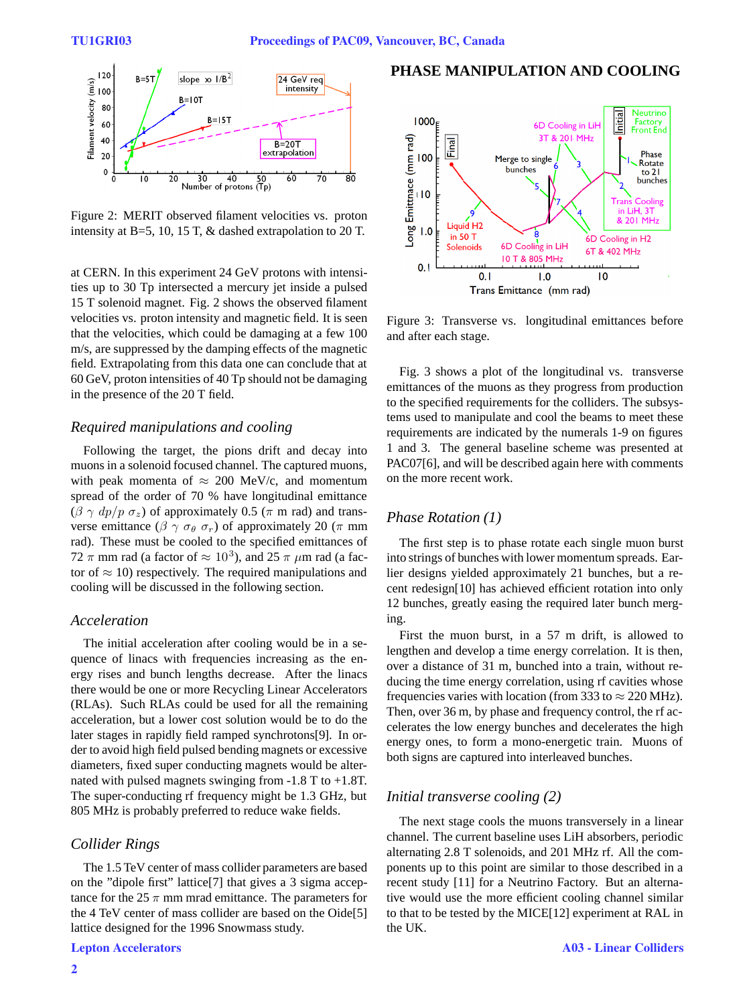

Figure 2: MERIT observed filament velocities vs. proton intensity at B=5, 10, 15 T, & dashed extrapolation to 20 T.

at CERN. In this experiment 24 GeV protons with intensities up to 30 Tp intersected a mercury jet inside a pulsed 15 T solenoid magnet. Fig. 2 shows the observed filament velocities vs. proton intensity and magnetic field. It is seen that the velocities, which could be damaging at a few 100 m/s, are suppressed by the damping effects of the magnetic field. Extrapolating from this data one can conclude that at 60 GeV, proton intensities of 40 Tp should not be damaging in the presence of the 20 T field.

#### *Required manipulations and cooling*

Following the target, the pions drift and decay into muons in a solenoid focused channel. The captured muons, with peak momenta of  $\approx 200$  MeV/c, and momentum spread of the order of 70 % have longitudinal emittance  $(\beta \gamma dp/p \sigma_z)$  of approximately 0.5 ( $\pi$  m rad) and transverse emittance ( $\beta \gamma \sigma_{\theta} \sigma_r$ ) of approximately 20 ( $\pi$  mm rad). These must be cooled to the specified emittances of 72  $\pi$  mm rad (a factor of  $\approx 10^3$ ), and 25  $\pi$   $\mu$ m rad (a factor of  $\approx$  10) respectively. The required manipulations and cooling will be discussed in the following section.

# *Acceleration*

The initial acceleration after cooling would be in a sequence of linacs with frequencies increasing as the energy rises and bunch lengths decrease. After the linacs there would be one or more Recycling Linear Accelerators (RLAs). Such RLAs could be used for all the remaining acceleration, but a lower cost solution would be to do the later stages in rapidly field ramped synchrotons[9]. In order to avoid high field pulsed bending magnets or excessive diameters, fixed super conducting magnets would be alternated with pulsed magnets swinging from -1.8 T to +1.8T. The super-conducting rf frequency might be 1.3 GHz, but 805 MHz is probably preferred to reduce wake fields.

#### *Collider Rings*

The 1.5 TeV center of mass collider parameters are based on the "dipole first" lattice[7] that gives a 3 sigma acceptance for the 25  $\pi$  mm mrad emittance. The parameters for the 4 TeV center of mass collider are based on the Oide[5] lattice designed for the 1996 Snowmass study.

# **PHASE MANIPULATION AND COOLING**



Figure 3: Transverse vs. longitudinal emittances before and after each stage.

Fig. 3 shows a plot of the longitudinal vs. transverse emittances of the muons as they progress from production to the specified requirements for the colliders. The subsystems used to manipulate and cool the beams to meet these requirements are indicated by the numerals 1-9 on figures 1 and 3. The general baseline scheme was presented at PAC07[6], and will be described again here with comments on the more recent work.

#### *Phase Rotation (1)*

The first step is to phase rotate each single muon burst into strings of bunches with lower momentum spreads. Earlier designs yielded approximately 21 bunches, but a recent redesign[10] has achieved efficient rotation into only 12 bunches, greatly easing the required later bunch merging.

First the muon burst, in a 57 m drift, is allowed to lengthen and develop a time energy correlation. It is then, over a distance of 31 m, bunched into a train, without reducing the time energy correlation, using rf cavities whose frequencies varies with location (from 333 to  $\approx$  220 MHz). Then, over 36 m, by phase and frequency control, the rf accelerates the low energy bunches and decelerates the high energy ones, to form a mono-energetic train. Muons of both signs are captured into interleaved bunches.

#### *Initial transverse cooling (2)*

The next stage cools the muons transversely in a linear channel. The current baseline uses LiH absorbers, periodic alternating 2.8 T solenoids, and 201 MHz rf. All the components up to this point are similar to those described in a recent study [11] for a Neutrino Factory. But an alternative would use the more efficient cooling channel similar to that to be tested by the MICE[12] experiment at RAL in the UK.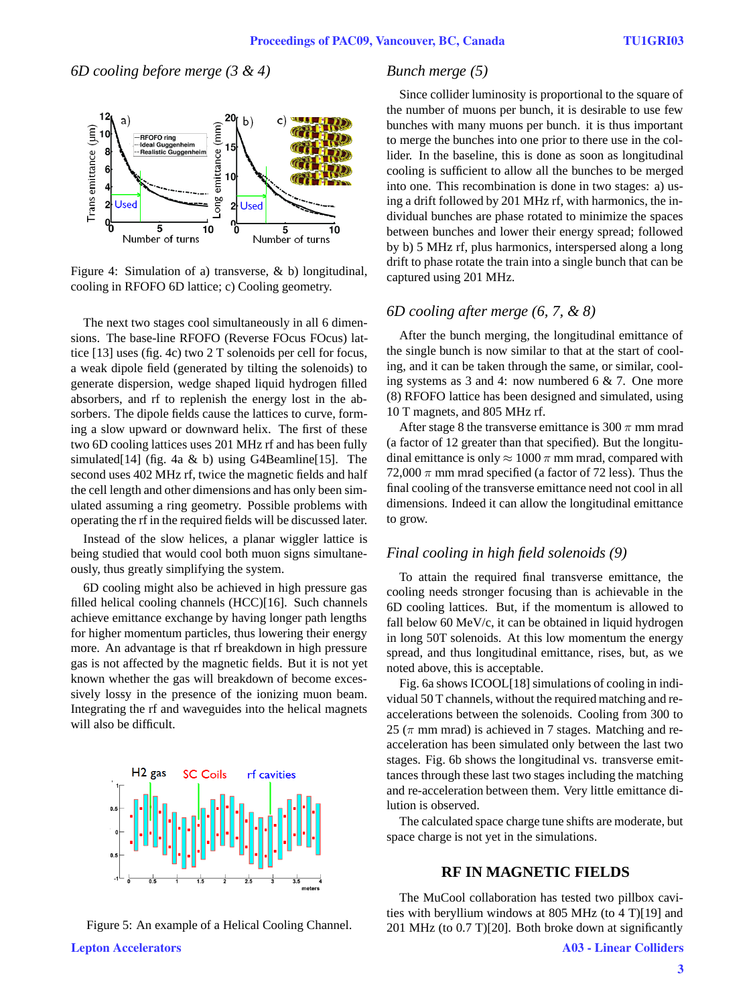# *6D cooling before merge (3 & 4)*



Figure 4: Simulation of a) transverse, & b) longitudinal, cooling in RFOFO 6D lattice; c) Cooling geometry.

The next two stages cool simultaneously in all 6 dimensions. The base-line RFOFO (Reverse FOcus FOcus) lattice [13] uses (fig. 4c) two 2 T solenoids per cell for focus, a weak dipole field (generated by tilting the solenoids) to generate dispersion, wedge shaped liquid hydrogen filled absorbers, and rf to replenish the energy lost in the absorbers. The dipole fields cause the lattices to curve, forming a slow upward or downward helix. The first of these two 6D cooling lattices uses 201 MHz rf and has been fully simulated[14] (fig. 4a  $\&$  b) using G4Beamline[15]. The second uses 402 MHz rf, twice the magnetic fields and half the cell length and other dimensions and has only been simulated assuming a ring geometry. Possible problems with operating the rf in the required fields will be discussed later.

Instead of the slow helices, a planar wiggler lattice is being studied that would cool both muon signs simultaneously, thus greatly simplifying the system.

6D cooling might also be achieved in high pressure gas filled helical cooling channels (HCC)[16]. Such channels achieve emittance exchange by having longer path lengths for higher momentum particles, thus lowering their energy more. An advantage is that rf breakdown in high pressure gas is not affected by the magnetic fields. But it is not yet known whether the gas will breakdown of become excessively lossy in the presence of the ionizing muon beam. Integrating the rf and waveguides into the helical magnets will also be difficult.





# *Bunch merge (5)*

Since collider luminosity is proportional to the square of the number of muons per bunch, it is desirable to use few bunches with many muons per bunch. it is thus important to merge the bunches into one prior to there use in the collider. In the baseline, this is done as soon as longitudinal cooling is sufficient to allow all the bunches to be merged into one. This recombination is done in two stages: a) using a drift followed by 201 MHz rf, with harmonics, the individual bunches are phase rotated to minimize the spaces between bunches and lower their energy spread; followed by b) 5 MHz rf, plus harmonics, interspersed along a long drift to phase rotate the train into a single bunch that can be captured using 201 MHz.

#### *6D cooling after merge (6, 7, & 8)*

After the bunch merging, the longitudinal emittance of the single bunch is now similar to that at the start of cooling, and it can be taken through the same, or similar, cooling systems as 3 and 4: now numbered 6 & 7. One more (8) RFOFO lattice has been designed and simulated, using 10 T magnets, and 805 MHz rf.

After stage 8 the transverse emittance is 300  $\pi$  mm mrad (a factor of 12 greater than that specified). But the longitudinal emittance is only  $\approx 1000 \pi$  mm mrad, compared with 72,000  $\pi$  mm mrad specified (a factor of 72 less). Thus the final cooling of the transverse emittance need not cool in all dimensions. Indeed it can allow the longitudinal emittance to grow.

# *Final cooling in high field solenoids (9)*

To attain the required final transverse emittance, the cooling needs stronger focusing than is achievable in the 6D cooling lattices. But, if the momentum is allowed to fall below 60 MeV/c, it can be obtained in liquid hydrogen in long 50T solenoids. At this low momentum the energy spread, and thus longitudinal emittance, rises, but, as we noted above, this is acceptable.

Fig. 6a shows ICOOL[18] simulations of cooling in individual 50 T channels, without the required matching and reaccelerations between the solenoids. Cooling from 300 to 25 ( $\pi$  mm mrad) is achieved in 7 stages. Matching and reacceleration has been simulated only between the last two stages. Fig. 6b shows the longitudinal vs. transverse emittances through these last two stages including the matching and re-acceleration between them. Very little emittance dilution is observed.

The calculated space charge tune shifts are moderate, but space charge is not yet in the simulations.

#### **RF IN MAGNETIC FIELDS**

The MuCool collaboration has tested two pillbox cavities with beryllium windows at 805 MHz (to 4 T)[19] and 201 MHz (to 0.7 T)[20]. Both broke down at significantly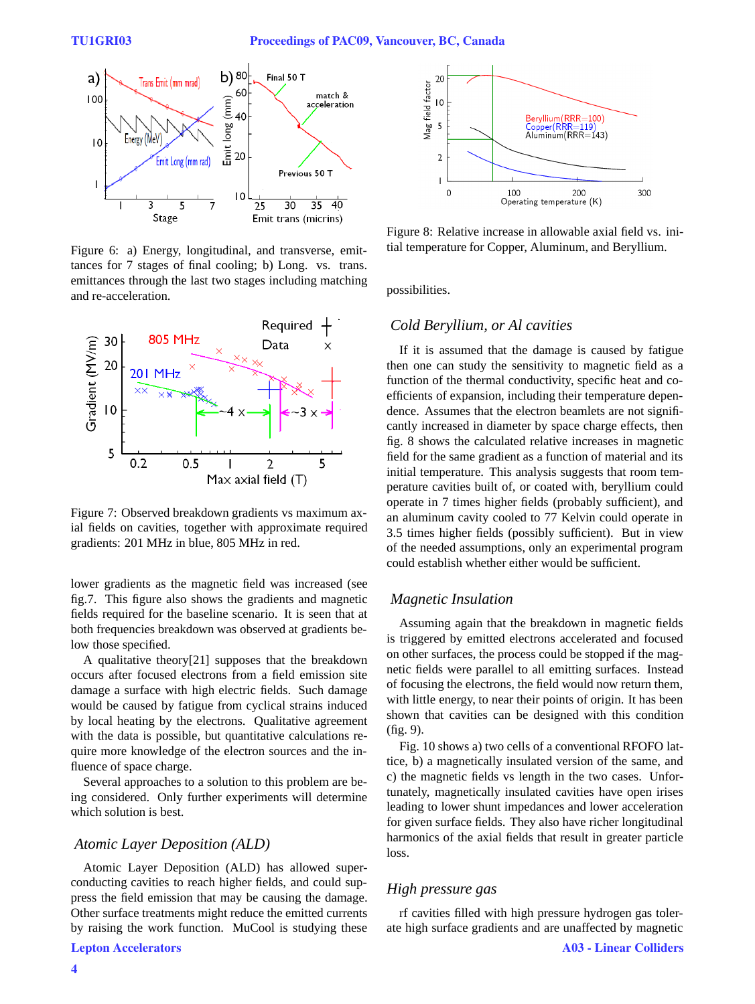

Figure 6: a) Energy, longitudinal, and transverse, emittances for 7 stages of final cooling; b) Long. vs. trans. emittances through the last two stages including matching and re-acceleration.



Figure 7: Observed breakdown gradients vs maximum axial fields on cavities, together with approximate required gradients: 201 MHz in blue, 805 MHz in red.

lower gradients as the magnetic field was increased (see fig.7. This figure also shows the gradients and magnetic fields required for the baseline scenario. It is seen that at both frequencies breakdown was observed at gradients below those specified.

A qualitative theory[21] supposes that the breakdown occurs after focused electrons from a field emission site damage a surface with high electric fields. Such damage would be caused by fatigue from cyclical strains induced by local heating by the electrons. Qualitative agreement with the data is possible, but quantitative calculations require more knowledge of the electron sources and the influence of space charge.

Several approaches to a solution to this problem are being considered. Only further experiments will determine which solution is best.

#### *Atomic Layer Deposition (ALD)*

Atomic Layer Deposition (ALD) has allowed superconducting cavities to reach higher fields, and could suppress the field emission that may be causing the damage. Other surface treatments might reduce the emitted currents by raising the work function. MuCool is studying these



Figure 8: Relative increase in allowable axial field vs. initial temperature for Copper, Aluminum, and Beryllium.

possibilities.

#### *Cold Beryllium, or Al cavities*

If it is assumed that the damage is caused by fatigue then one can study the sensitivity to magnetic field as a function of the thermal conductivity, specific heat and coefficients of expansion, including their temperature dependence. Assumes that the electron beamlets are not significantly increased in diameter by space charge effects, then fig. 8 shows the calculated relative increases in magnetic field for the same gradient as a function of material and its initial temperature. This analysis suggests that room temperature cavities built of, or coated with, beryllium could operate in 7 times higher fields (probably sufficient), and an aluminum cavity cooled to 77 Kelvin could operate in 3.5 times higher fields (possibly sufficient). But in view of the needed assumptions, only an experimental program could establish whether either would be sufficient.

#### *Magnetic Insulation*

Assuming again that the breakdown in magnetic fields is triggered by emitted electrons accelerated and focused on other surfaces, the process could be stopped if the magnetic fields were parallel to all emitting surfaces. Instead of focusing the electrons, the field would now return them, with little energy, to near their points of origin. It has been shown that cavities can be designed with this condition (fig. 9).

Fig. 10 shows a) two cells of a conventional RFOFO lattice, b) a magnetically insulated version of the same, and c) the magnetic fields vs length in the two cases. Unfortunately, magnetically insulated cavities have open irises leading to lower shunt impedances and lower acceleration for given surface fields. They also have richer longitudinal harmonics of the axial fields that result in greater particle loss.

# *High pressure gas*

rf cavities filled with high pressure hydrogen gas tolerate high surface gradients and are unaffected by magnetic